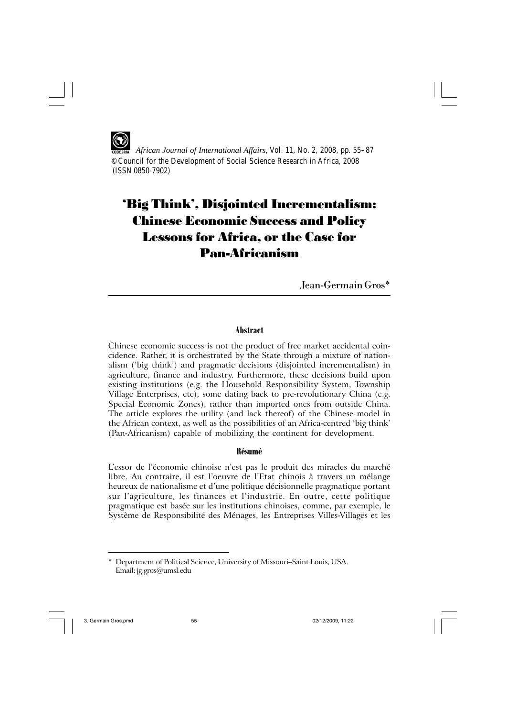*African Journal of International Affairs,* Vol. 11, No. 2, 2008, pp. 55–87 © Council for the Development of Social Science Research in Africa, 2008 (ISSN 0850-7902)

# 'Big Think', Disjointed Incrementalism: Chinese Economic Success and Policy Lessons for Africa, or the Case for Pan-Africanism

Jean-Germain Gros\*

## **Abstract**

Chinese economic success is not the product of free market accidental coincidence. Rather, it is orchestrated by the State through a mixture of nationalism ('big think') and pragmatic decisions (disjointed incrementalism) in agriculture, finance and industry. Furthermore, these decisions build upon existing institutions (e.g. the Household Responsibility System, Township Village Enterprises, etc), some dating back to pre-revolutionary China (e.g. Special Economic Zones), rather than imported ones from outside China. The article explores the utility (and lack thereof) of the Chinese model in the African context, as well as the possibilities of an Africa-centred 'big think' (Pan-Africanism) capable of mobilizing the continent for development.

### **Résumé**

L'essor de l'économie chinoise n'est pas le produit des miracles du marché libre. Au contraire, il est l'oeuvre de l'Etat chinois à travers un mélange heureux de nationalisme et d'une politique décisionnelle pragmatique portant sur l'agriculture, les finances et l'industrie. En outre, cette politique pragmatique est basée sur les institutions chinoises, comme, par exemple, le Système de Responsibilité des Ménages, les Entreprises Villes-Villages et les

Department of Political Science, University of Missouri-Saint Louis, USA. Email: jg.gros@umsl.edu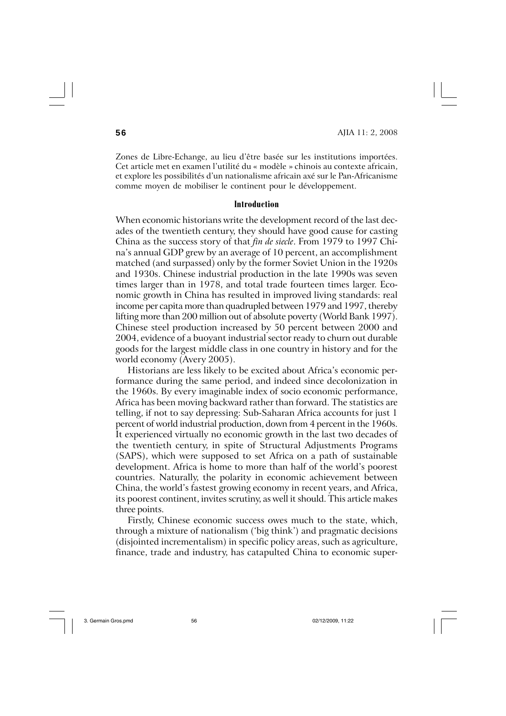Zones de Libre-Echange, au lieu d'être basée sur les institutions importées. Cet article met en examen l'utilité du « modèle » chinois au contexte africain, et explore les possibilités d'un nationalisme africain axé sur le Pan-Africanisme comme moyen de mobiliser le continent pour le développement.

#### **Introduction**

When economic historians write the development record of the last decades of the twentieth century, they should have good cause for casting China as the success story of that *fin de siecle*. From 1979 to 1997 China's annual GDP grew by an average of 10 percent, an accomplishment matched (and surpassed) only by the former Soviet Union in the 1920s and 1930s. Chinese industrial production in the late 1990s was seven times larger than in 1978, and total trade fourteen times larger. Economic growth in China has resulted in improved living standards: real income per capita more than quadrupled between 1979 and 1997, thereby lifting more than 200 million out of absolute poverty (World Bank 1997). Chinese steel production increased by 50 percent between 2000 and 2004, evidence of a buoyant industrial sector ready to churn out durable goods for the largest middle class in one country in history and for the world economy (Avery 2005).

Historians are less likely to be excited about Africa's economic performance during the same period, and indeed since decolonization in the 1960s. By every imaginable index of socio economic performance, Africa has been moving backward rather than forward. The statistics are telling, if not to say depressing: Sub-Saharan Africa accounts for just 1 percent of world industrial production, down from 4 percent in the 1960s. It experienced virtually no economic growth in the last two decades of the twentieth century, in spite of Structural Adjustments Programs (SAPS), which were supposed to set Africa on a path of sustainable development. Africa is home to more than half of the world's poorest countries. Naturally, the polarity in economic achievement between China, the world's fastest growing economy in recent years, and Africa, its poorest continent, invites scrutiny, as well it should. This article makes three points.

Firstly, Chinese economic success owes much to the state, which, through a mixture of nationalism ('big think') and pragmatic decisions (disjointed incrementalism) in specific policy areas, such as agriculture, finance, trade and industry, has catapulted China to economic super-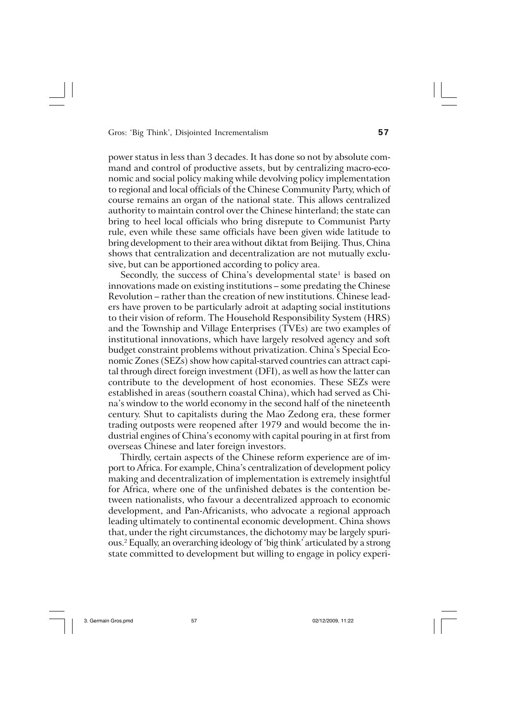power status in less than 3 decades. It has done so not by absolute command and control of productive assets, but by centralizing macro-economic and social policy making while devolving policy implementation to regional and local officials of the Chinese Community Party, which of course remains an organ of the national state. This allows centralized authority to maintain control over the Chinese hinterland; the state can bring to heel local officials who bring disrepute to Communist Party rule, even while these same officials have been given wide latitude to bring development to their area without diktat from Beijing. Thus, China shows that centralization and decentralization are not mutually exclusive, but can be apportioned according to policy area.

Secondly, the success of China's developmental state<sup>1</sup> is based on innovations made on existing institutions – some predating the Chinese Revolution – rather than the creation of new institutions. Chinese leaders have proven to be particularly adroit at adapting social institutions to their vision of reform. The Household Responsibility System (HRS) and the Township and Village Enterprises (TVEs) are two examples of institutional innovations, which have largely resolved agency and soft budget constraint problems without privatization. China's Special Economic Zones (SEZs) show how capital-starved countries can attract capital through direct foreign investment (DFI), as well as how the latter can contribute to the development of host economies. These SEZs were established in areas (southern coastal China), which had served as China's window to the world economy in the second half of the nineteenth century. Shut to capitalists during the Mao Zedong era, these former trading outposts were reopened after 1979 and would become the industrial engines of China's economy with capital pouring in at first from overseas Chinese and later foreign investors.

Thirdly, certain aspects of the Chinese reform experience are of import to Africa. For example, China's centralization of development policy making and decentralization of implementation is extremely insightful for Africa, where one of the unfinished debates is the contention between nationalists, who favour a decentralized approach to economic development, and Pan-Africanists, who advocate a regional approach leading ultimately to continental economic development. China shows that, under the right circumstances, the dichotomy may be largely spurious.2 Equally, an overarching ideology of 'big think' articulated by a strong state committed to development but willing to engage in policy experi-

3. Germain Gros.pmd 57 02/12/2009, 11:22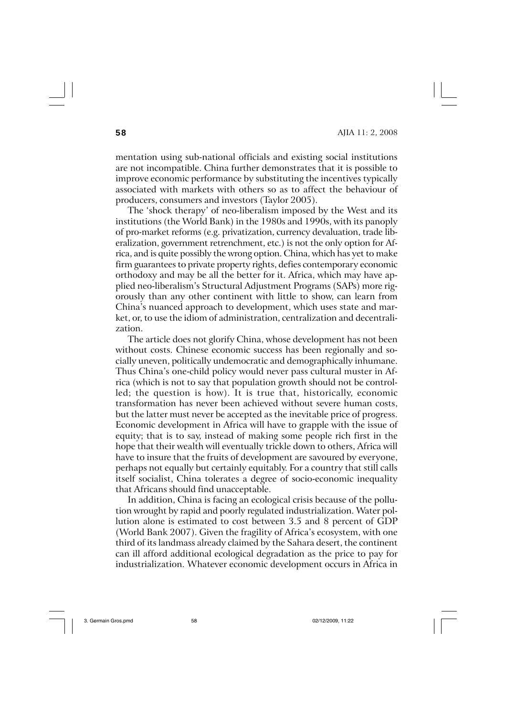mentation using sub-national officials and existing social institutions are not incompatible. China further demonstrates that it is possible to improve economic performance by substituting the incentives typically associated with markets with others so as to affect the behaviour of producers, consumers and investors (Taylor 2005).

The 'shock therapy' of neo-liberalism imposed by the West and its institutions (the World Bank) in the 1980s and 1990s, with its panoply of pro-market reforms (e.g. privatization, currency devaluation, trade liberalization, government retrenchment, etc.) is not the only option for Africa, and is quite possibly the wrong option. China, which has yet to make firm guarantees to private property rights, defies contemporary economic orthodoxy and may be all the better for it. Africa, which may have applied neo-liberalism's Structural Adjustment Programs (SAPs) more rigorously than any other continent with little to show, can learn from China's nuanced approach to development, which uses state and market, or, to use the idiom of administration, centralization and decentralization.

The article does not glorify China, whose development has not been without costs. Chinese economic success has been regionally and socially uneven, politically undemocratic and demographically inhumane. Thus China's one-child policy would never pass cultural muster in Africa (which is not to say that population growth should not be controlled; the question is how). It is true that, historically, economic transformation has never been achieved without severe human costs, but the latter must never be accepted as the inevitable price of progress. Economic development in Africa will have to grapple with the issue of equity; that is to say, instead of making some people rich first in the hope that their wealth will eventually trickle down to others, Africa will have to insure that the fruits of development are savoured by everyone, perhaps not equally but certainly equitably. For a country that still calls itself socialist, China tolerates a degree of socio-economic inequality that Africans should find unacceptable.

In addition, China is facing an ecological crisis because of the pollution wrought by rapid and poorly regulated industrialization. Water pollution alone is estimated to cost between 3.5 and 8 percent of GDP (World Bank 2007). Given the fragility of Africa's ecosystem, with one third of its landmass already claimed by the Sahara desert, the continent can ill afford additional ecological degradation as the price to pay for industrialization. Whatever economic development occurs in Africa in

3. Germain Gros.pmd 58 02/12/2009, 11:22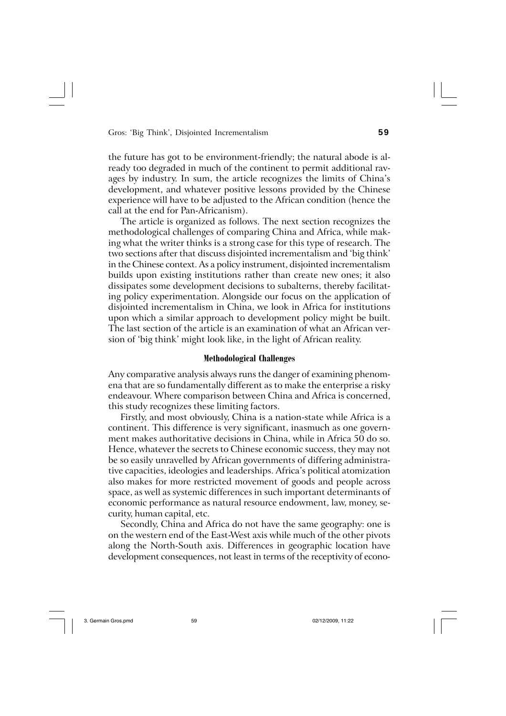the future has got to be environment-friendly; the natural abode is already too degraded in much of the continent to permit additional ravages by industry. In sum, the article recognizes the limits of China's development, and whatever positive lessons provided by the Chinese experience will have to be adjusted to the African condition (hence the call at the end for Pan-Africanism).

The article is organized as follows. The next section recognizes the methodological challenges of comparing China and Africa, while making what the writer thinks is a strong case for this type of research. The two sections after that discuss disjointed incrementalism and 'big think' in the Chinese context. As a policy instrument, disjointed incrementalism builds upon existing institutions rather than create new ones; it also dissipates some development decisions to subalterns, thereby facilitating policy experimentation. Alongside our focus on the application of disjointed incrementalism in China, we look in Africa for institutions upon which a similar approach to development policy might be built. The last section of the article is an examination of what an African version of 'big think' might look like, in the light of African reality.

#### **Methodological Challenges**

Any comparative analysis always runs the danger of examining phenomena that are so fundamentally different as to make the enterprise a risky endeavour. Where comparison between China and Africa is concerned, this study recognizes these limiting factors.

Firstly, and most obviously, China is a nation-state while Africa is a continent. This difference is very significant, inasmuch as one government makes authoritative decisions in China, while in Africa 50 do so. Hence, whatever the secrets to Chinese economic success, they may not be so easily unravelled by African governments of differing administrative capacities, ideologies and leaderships. Africa's political atomization also makes for more restricted movement of goods and people across space, as well as systemic differences in such important determinants of economic performance as natural resource endowment, law, money, security, human capital, etc.

Secondly, China and Africa do not have the same geography: one is on the western end of the East-West axis while much of the other pivots along the North-South axis. Differences in geographic location have development consequences, not least in terms of the receptivity of econo-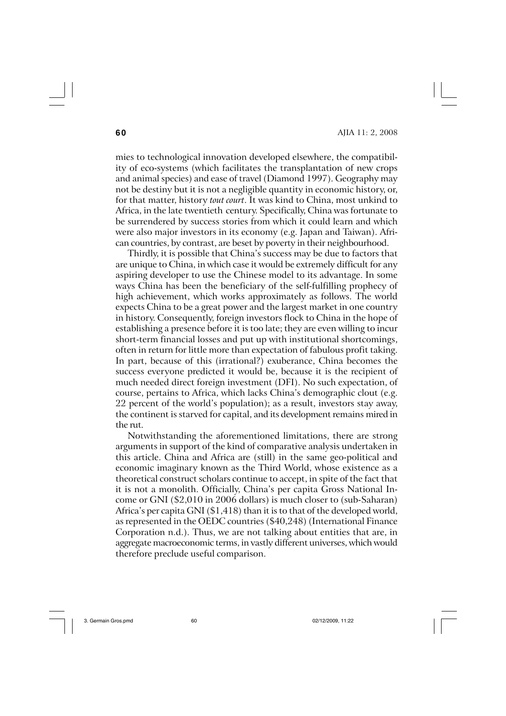**60** AJIA 11: 2, 2008

mies to technological innovation developed elsewhere, the compatibility of eco-systems (which facilitates the transplantation of new crops and animal species) and ease of travel (Diamond 1997). Geography may not be destiny but it is not a negligible quantity in economic history, or, for that matter, history *tout court*. It was kind to China, most unkind to Africa, in the late twentieth century. Specifically, China was fortunate to be surrendered by success stories from which it could learn and which were also major investors in its economy (e.g. Japan and Taiwan). African countries, by contrast, are beset by poverty in their neighbourhood.

Thirdly, it is possible that China's success may be due to factors that are unique to China, in which case it would be extremely difficult for any aspiring developer to use the Chinese model to its advantage. In some ways China has been the beneficiary of the self-fulfilling prophecy of high achievement, which works approximately as follows. The world expects China to be a great power and the largest market in one country in history. Consequently, foreign investors flock to China in the hope of establishing a presence before it is too late; they are even willing to incur short-term financial losses and put up with institutional shortcomings, often in return for little more than expectation of fabulous profit taking. In part, because of this (irrational?) exuberance, China becomes the success everyone predicted it would be, because it is the recipient of much needed direct foreign investment (DFI). No such expectation, of course, pertains to Africa, which lacks China's demographic clout (e.g. 22 percent of the world's population); as a result, investors stay away, the continent is starved for capital, and its development remains mired in the rut.

Notwithstanding the aforementioned limitations, there are strong arguments in support of the kind of comparative analysis undertaken in this article. China and Africa are (still) in the same geo-political and economic imaginary known as the Third World, whose existence as a theoretical construct scholars continue to accept, in spite of the fact that it is not a monolith. Officially, China's per capita Gross National Income or GNI (\$2,010 in 2006 dollars) is much closer to (sub-Saharan) Africa's per capita GNI (\$1,418) than it is to that of the developed world, as represented in the OEDC countries (\$40,248) (International Finance Corporation n.d.). Thus, we are not talking about entities that are, in aggregate macroeconomic terms, in vastly different universes, which would therefore preclude useful comparison.

3. Germain Gros.pmd 60 02/12/2009, 11:22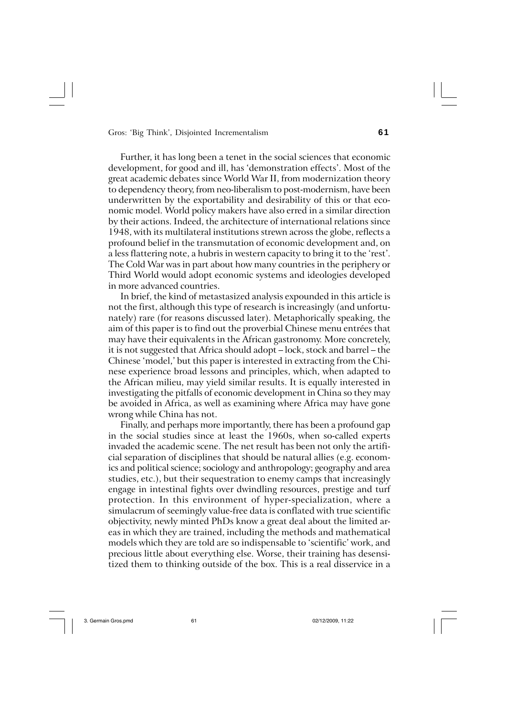Further, it has long been a tenet in the social sciences that economic development, for good and ill, has 'demonstration effects'. Most of the great academic debates since World War II, from modernization theory to dependency theory, from neo-liberalism to post-modernism, have been underwritten by the exportability and desirability of this or that economic model. World policy makers have also erred in a similar direction by their actions. Indeed, the architecture of international relations since 1948, with its multilateral institutions strewn across the globe, reflects a profound belief in the transmutation of economic development and, on a less flattering note, a hubris in western capacity to bring it to the 'rest'. The Cold War was in part about how many countries in the periphery or Third World would adopt economic systems and ideologies developed in more advanced countries.

In brief, the kind of metastasized analysis expounded in this article is not the first, although this type of research is increasingly (and unfortunately) rare (for reasons discussed later). Metaphorically speaking, the aim of this paper is to find out the proverbial Chinese menu entrées that may have their equivalents in the African gastronomy. More concretely, it is not suggested that Africa should adopt – lock, stock and barrel – the Chinese 'model,' but this paper is interested in extracting from the Chinese experience broad lessons and principles, which, when adapted to the African milieu, may yield similar results. It is equally interested in investigating the pitfalls of economic development in China so they may be avoided in Africa, as well as examining where Africa may have gone wrong while China has not.

Finally, and perhaps more importantly, there has been a profound gap in the social studies since at least the 1960s, when so-called experts invaded the academic scene. The net result has been not only the artificial separation of disciplines that should be natural allies (e.g. economics and political science; sociology and anthropology; geography and area studies, etc.), but their sequestration to enemy camps that increasingly engage in intestinal fights over dwindling resources, prestige and turf protection. In this environment of hyper-specialization, where a simulacrum of seemingly value-free data is conflated with true scientific objectivity, newly minted PhDs know a great deal about the limited areas in which they are trained, including the methods and mathematical models which they are told are so indispensable to 'scientific' work, and precious little about everything else. Worse, their training has desensitized them to thinking outside of the box. This is a real disservice in a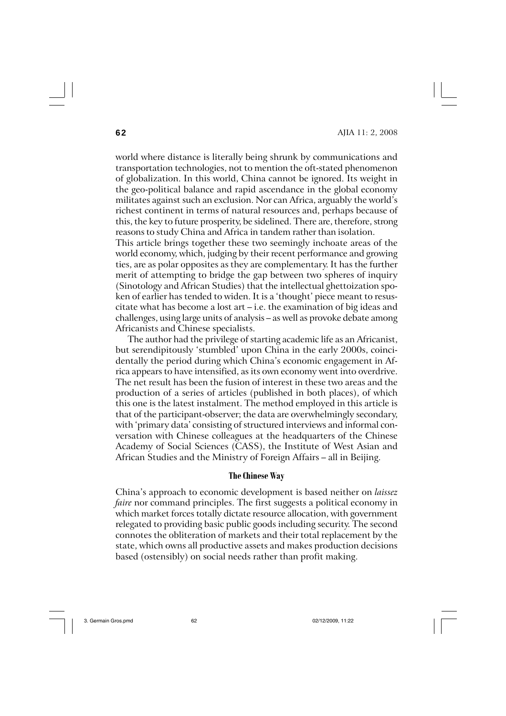world where distance is literally being shrunk by communications and transportation technologies, not to mention the oft-stated phenomenon of globalization. In this world, China cannot be ignored. Its weight in the geo-political balance and rapid ascendance in the global economy militates against such an exclusion. Nor can Africa, arguably the world's richest continent in terms of natural resources and, perhaps because of this, the key to future prosperity, be sidelined. There are, therefore, strong reasons to study China and Africa in tandem rather than isolation.

This article brings together these two seemingly inchoate areas of the world economy, which, judging by their recent performance and growing ties, are as polar opposites as they are complementary. It has the further merit of attempting to bridge the gap between two spheres of inquiry (Sinotology and African Studies) that the intellectual ghettoization spoken of earlier has tended to widen. It is a 'thought' piece meant to resuscitate what has become a lost art – i.e. the examination of big ideas and challenges, using large units of analysis – as well as provoke debate among Africanists and Chinese specialists.

The author had the privilege of starting academic life as an Africanist, but serendipitously 'stumbled' upon China in the early 2000s, coincidentally the period during which China's economic engagement in Africa appears to have intensified, as its own economy went into overdrive. The net result has been the fusion of interest in these two areas and the production of a series of articles (published in both places), of which this one is the latest instalment. The method employed in this article is that of the participant-observer; the data are overwhelmingly secondary, with 'primary data' consisting of structured interviews and informal conversation with Chinese colleagues at the headquarters of the Chinese Academy of Social Sciences (CASS), the Institute of West Asian and African Studies and the Ministry of Foreign Affairs – all in Beijing.

#### **The Chinese Way**

China's approach to economic development is based neither on *laissez faire* nor command principles. The first suggests a political economy in which market forces totally dictate resource allocation, with government relegated to providing basic public goods including security. The second connotes the obliteration of markets and their total replacement by the state, which owns all productive assets and makes production decisions based (ostensibly) on social needs rather than profit making.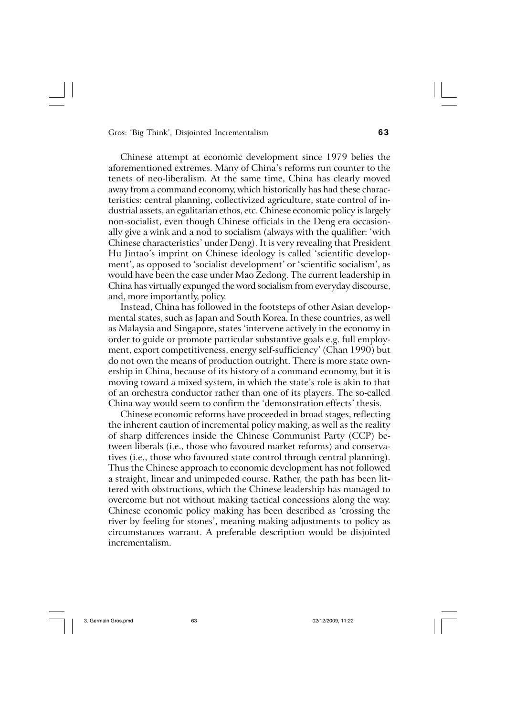Chinese attempt at economic development since 1979 belies the aforementioned extremes. Many of China's reforms run counter to the tenets of neo-liberalism. At the same time, China has clearly moved away from a command economy, which historically has had these characteristics: central planning, collectivized agriculture, state control of industrial assets, an egalitarian ethos, etc. Chinese economic policy is largely non-socialist, even though Chinese officials in the Deng era occasionally give a wink and a nod to socialism (always with the qualifier: 'with Chinese characteristics' under Deng). It is very revealing that President Hu Jintao's imprint on Chinese ideology is called 'scientific development', as opposed to 'socialist development' or 'scientific socialism', as would have been the case under Mao Zedong. The current leadership in China has virtually expunged the word socialism from everyday discourse, and, more importantly, policy.

Instead, China has followed in the footsteps of other Asian developmental states, such as Japan and South Korea. In these countries, as well as Malaysia and Singapore, states 'intervene actively in the economy in order to guide or promote particular substantive goals e.g. full employment, export competitiveness, energy self-sufficiency' (Chan 1990) but do not own the means of production outright. There is more state ownership in China, because of its history of a command economy, but it is moving toward a mixed system, in which the state's role is akin to that of an orchestra conductor rather than one of its players. The so-called China way would seem to confirm the 'demonstration effects' thesis.

Chinese economic reforms have proceeded in broad stages, reflecting the inherent caution of incremental policy making, as well as the reality of sharp differences inside the Chinese Communist Party (CCP) between liberals (i.e., those who favoured market reforms) and conservatives (i.e., those who favoured state control through central planning). Thus the Chinese approach to economic development has not followed a straight, linear and unimpeded course. Rather, the path has been littered with obstructions, which the Chinese leadership has managed to overcome but not without making tactical concessions along the way. Chinese economic policy making has been described as 'crossing the river by feeling for stones', meaning making adjustments to policy as circumstances warrant. A preferable description would be disjointed incrementalism.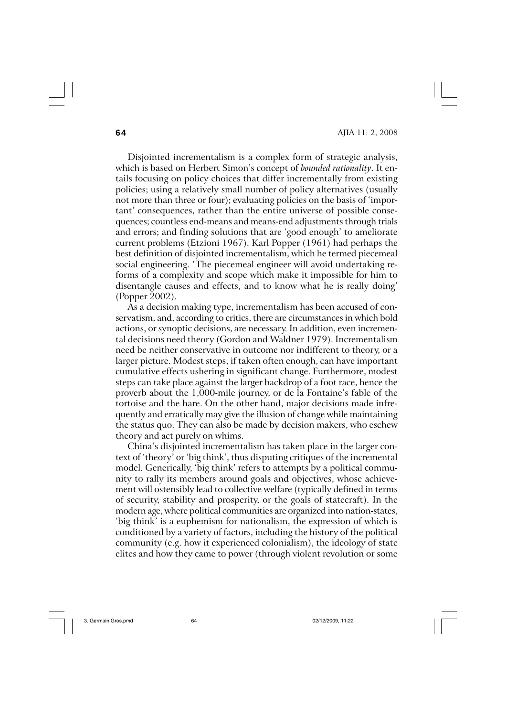**64** AJIA 11: 2, 2008

Disjointed incrementalism is a complex form of strategic analysis, which is based on Herbert Simon's concept of *bounded rationality*. It entails focusing on policy choices that differ incrementally from existing policies; using a relatively small number of policy alternatives (usually not more than three or four); evaluating policies on the basis of 'important' consequences, rather than the entire universe of possible consequences; countless end-means and means-end adjustments through trials and errors; and finding solutions that are 'good enough' to ameliorate current problems (Etzioni 1967). Karl Popper (1961) had perhaps the best definition of disjointed incrementalism, which he termed piecemeal social engineering. 'The piecemeal engineer will avoid undertaking reforms of a complexity and scope which make it impossible for him to disentangle causes and effects, and to know what he is really doing' (Popper 2002).

As a decision making type, incrementalism has been accused of conservatism, and, according to critics, there are circumstances in which bold actions, or synoptic decisions, are necessary. In addition, even incremental decisions need theory (Gordon and Waldner 1979). Incrementalism need be neither conservative in outcome nor indifferent to theory, or a larger picture. Modest steps, if taken often enough, can have important cumulative effects ushering in significant change. Furthermore, modest steps can take place against the larger backdrop of a foot race, hence the proverb about the 1,000-mile journey, or de la Fontaine's fable of the tortoise and the hare. On the other hand, major decisions made infrequently and erratically may give the illusion of change while maintaining the status quo. They can also be made by decision makers, who eschew theory and act purely on whims.

China's disjointed incrementalism has taken place in the larger context of 'theory' or 'big think', thus disputing critiques of the incremental model. Generically, 'big think' refers to attempts by a political community to rally its members around goals and objectives, whose achievement will ostensibly lead to collective welfare (typically defined in terms of security, stability and prosperity, or the goals of statecraft). In the modern age, where political communities are organized into nation-states, 'big think' is a euphemism for nationalism, the expression of which is conditioned by a variety of factors, including the history of the political community (e.g. how it experienced colonialism), the ideology of state elites and how they came to power (through violent revolution or some

3. Germain Gros.pmd 64 02/12/2009, 11:22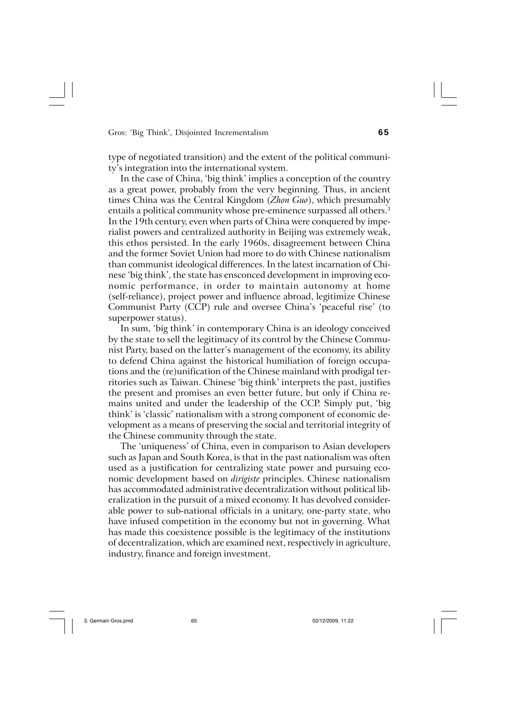type of negotiated transition) and the extent of the political community's integration into the international system.

In the case of China, 'big think' implies a conception of the country as a great power, probably from the very beginning. Thus, in ancient times China was the Central Kingdom (*Zhon Guo*), which presumably entails a political community whose pre-eminence surpassed all others.<sup>3</sup> In the 19th century, even when parts of China were conquered by imperialist powers and centralized authority in Beijing was extremely weak, this ethos persisted. In the early 1960s, disagreement between China and the former Soviet Union had more to do with Chinese nationalism than communist ideological differences. In the latest incarnation of Chinese 'big think', the state has ensconced development in improving economic performance, in order to maintain autonomy at home (self-reliance), project power and influence abroad, legitimize Chinese Communist Party (CCP) rule and oversee China's 'peaceful rise' (to superpower status).

In sum, 'big think' in contemporary China is an ideology conceived by the state to sell the legitimacy of its control by the Chinese Communist Party, based on the latter's management of the economy, its ability to defend China against the historical humiliation of foreign occupations and the (re)unification of the Chinese mainland with prodigal territories such as Taiwan. Chinese 'big think' interprets the past, justifies the present and promises an even better future, but only if China remains united and under the leadership of the CCP. Simply put, 'big think' is 'classic' nationalism with a strong component of economic development as a means of preserving the social and territorial integrity of the Chinese community through the state.

The 'uniqueness' of China, even in comparison to Asian developers such as Japan and South Korea, is that in the past nationalism was often used as a justification for centralizing state power and pursuing economic development based on *dirigiste* principles. Chinese nationalism has accommodated administrative decentralization without political liberalization in the pursuit of a mixed economy. It has devolved considerable power to sub-national officials in a unitary, one-party state, who have infused competition in the economy but not in governing. What has made this coexistence possible is the legitimacy of the institutions of decentralization, which are examined next, respectively in agriculture, industry, finance and foreign investment.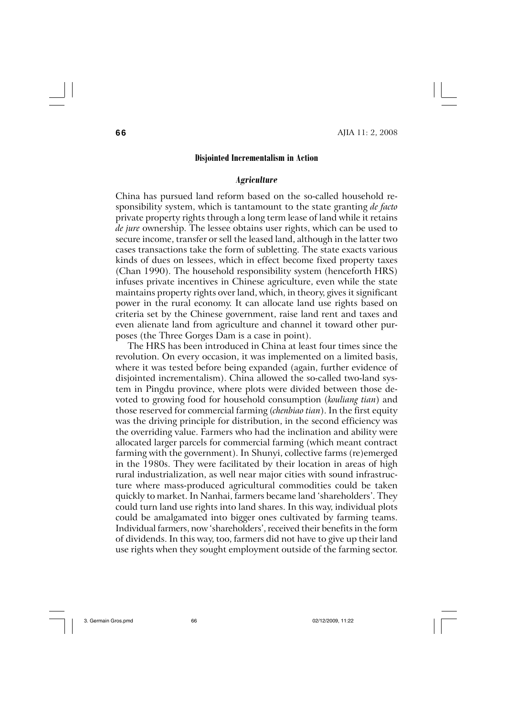### **Disjointed Incrementalism in Action**

#### *Agriculture*

China has pursued land reform based on the so-called household responsibility system, which is tantamount to the state granting *de facto* private property rights through a long term lease of land while it retains *de jure* ownership. The lessee obtains user rights, which can be used to secure income, transfer or sell the leased land, although in the latter two cases transactions take the form of subletting. The state exacts various kinds of dues on lessees, which in effect become fixed property taxes (Chan 1990). The household responsibility system (henceforth HRS) infuses private incentives in Chinese agriculture, even while the state maintains property rights over land, which, in theory, gives it significant power in the rural economy. It can allocate land use rights based on criteria set by the Chinese government, raise land rent and taxes and even alienate land from agriculture and channel it toward other purposes (the Three Gorges Dam is a case in point).

The HRS has been introduced in China at least four times since the revolution. On every occasion, it was implemented on a limited basis, where it was tested before being expanded (again, further evidence of disjointed incrementalism). China allowed the so-called two-land system in Pingdu province, where plots were divided between those devoted to growing food for household consumption (*kouliang tian*) and those reserved for commercial farming (*chenbiao tian*). In the first equity was the driving principle for distribution, in the second efficiency was the overriding value. Farmers who had the inclination and ability were allocated larger parcels for commercial farming (which meant contract farming with the government). In Shunyi, collective farms (re)emerged in the 1980s. They were facilitated by their location in areas of high rural industrialization, as well near major cities with sound infrastructure where mass-produced agricultural commodities could be taken quickly to market. In Nanhai, farmers became land 'shareholders'. They could turn land use rights into land shares. In this way, individual plots could be amalgamated into bigger ones cultivated by farming teams. Individual farmers, now 'shareholders', received their benefits in the form of dividends. In this way, too, farmers did not have to give up their land use rights when they sought employment outside of the farming sector.

3. Germain Gros.pmd 66 02/12/2009, 11:22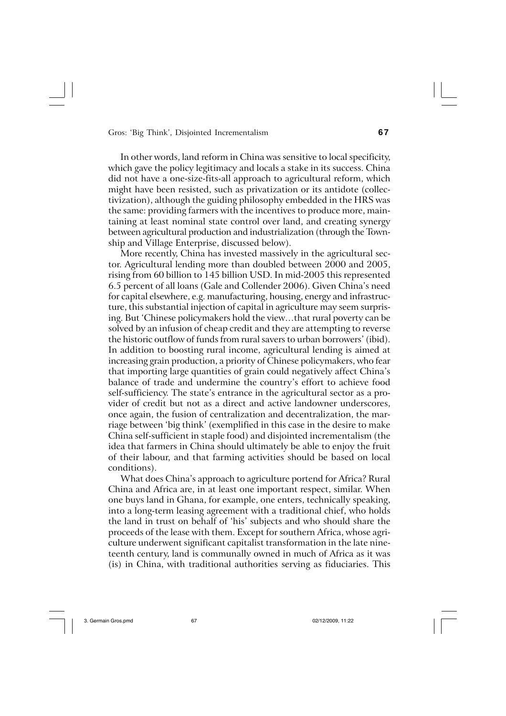In other words, land reform in China was sensitive to local specificity, which gave the policy legitimacy and locals a stake in its success. China did not have a one-size-fits-all approach to agricultural reform, which might have been resisted, such as privatization or its antidote (collectivization), although the guiding philosophy embedded in the HRS was the same: providing farmers with the incentives to produce more, maintaining at least nominal state control over land, and creating synergy between agricultural production and industrialization (through the Township and Village Enterprise, discussed below).

More recently, China has invested massively in the agricultural sector. Agricultural lending more than doubled between 2000 and 2005, rising from 60 billion to 145 billion USD. In mid-2005 this represented 6.5 percent of all loans (Gale and Collender 2006). Given China's need for capital elsewhere, e.g. manufacturing, housing, energy and infrastructure, this substantial injection of capital in agriculture may seem surprising. But 'Chinese policymakers hold the view…that rural poverty can be solved by an infusion of cheap credit and they are attempting to reverse the historic outflow of funds from rural savers to urban borrowers' (ibid). In addition to boosting rural income, agricultural lending is aimed at increasing grain production, a priority of Chinese policymakers, who fear that importing large quantities of grain could negatively affect China's balance of trade and undermine the country's effort to achieve food self-sufficiency. The state's entrance in the agricultural sector as a provider of credit but not as a direct and active landowner underscores, once again, the fusion of centralization and decentralization, the marriage between 'big think' (exemplified in this case in the desire to make China self-sufficient in staple food) and disjointed incrementalism (the idea that farmers in China should ultimately be able to enjoy the fruit of their labour, and that farming activities should be based on local conditions).

What does China's approach to agriculture portend for Africa? Rural China and Africa are, in at least one important respect, similar. When one buys land in Ghana, for example, one enters, technically speaking, into a long-term leasing agreement with a traditional chief, who holds the land in trust on behalf of 'his' subjects and who should share the proceeds of the lease with them. Except for southern Africa, whose agriculture underwent significant capitalist transformation in the late nineteenth century, land is communally owned in much of Africa as it was (is) in China, with traditional authorities serving as fiduciaries. This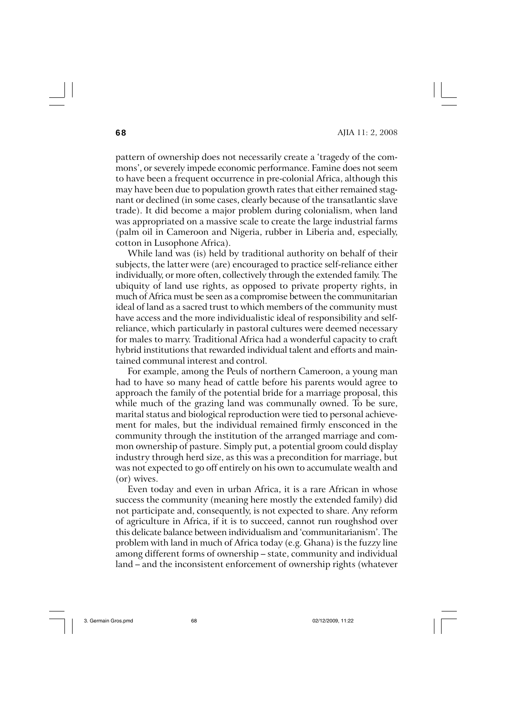pattern of ownership does not necessarily create a 'tragedy of the commons', or severely impede economic performance. Famine does not seem to have been a frequent occurrence in pre-colonial Africa, although this may have been due to population growth rates that either remained stagnant or declined (in some cases, clearly because of the transatlantic slave trade). It did become a major problem during colonialism, when land was appropriated on a massive scale to create the large industrial farms (palm oil in Cameroon and Nigeria, rubber in Liberia and, especially, cotton in Lusophone Africa).

While land was (is) held by traditional authority on behalf of their subjects, the latter were (are) encouraged to practice self-reliance either individually, or more often, collectively through the extended family. The ubiquity of land use rights, as opposed to private property rights, in much of Africa must be seen as a compromise between the communitarian ideal of land as a sacred trust to which members of the community must have access and the more individualistic ideal of responsibility and selfreliance, which particularly in pastoral cultures were deemed necessary for males to marry. Traditional Africa had a wonderful capacity to craft hybrid institutions that rewarded individual talent and efforts and maintained communal interest and control.

For example, among the Peuls of northern Cameroon, a young man had to have so many head of cattle before his parents would agree to approach the family of the potential bride for a marriage proposal, this while much of the grazing land was communally owned. To be sure, marital status and biological reproduction were tied to personal achievement for males, but the individual remained firmly ensconced in the community through the institution of the arranged marriage and common ownership of pasture. Simply put, a potential groom could display industry through herd size, as this was a precondition for marriage, but was not expected to go off entirely on his own to accumulate wealth and (or) wives.

Even today and even in urban Africa, it is a rare African in whose success the community (meaning here mostly the extended family) did not participate and, consequently, is not expected to share. Any reform of agriculture in Africa, if it is to succeed, cannot run roughshod over this delicate balance between individualism and 'communitarianism'. The problem with land in much of Africa today (e.g. Ghana) is the fuzzy line among different forms of ownership – state, community and individual land – and the inconsistent enforcement of ownership rights (whatever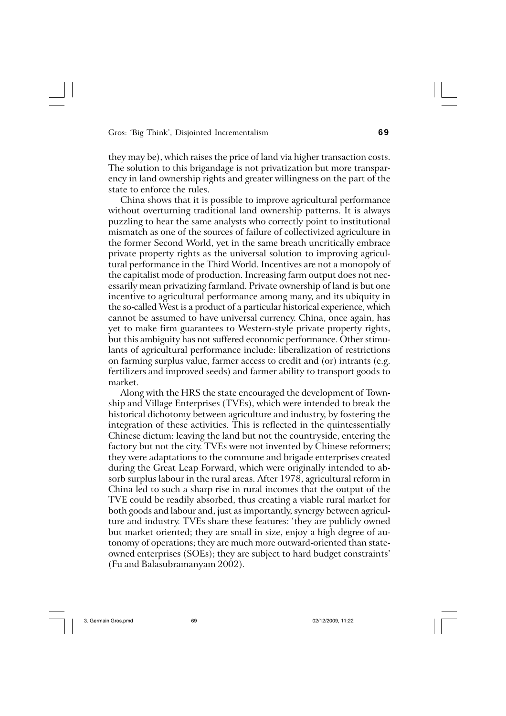they may be), which raises the price of land via higher transaction costs. The solution to this brigandage is not privatization but more transparency in land ownership rights and greater willingness on the part of the state to enforce the rules.

China shows that it is possible to improve agricultural performance without overturning traditional land ownership patterns. It is always puzzling to hear the same analysts who correctly point to institutional mismatch as one of the sources of failure of collectivized agriculture in the former Second World, yet in the same breath uncritically embrace private property rights as the universal solution to improving agricultural performance in the Third World. Incentives are not a monopoly of the capitalist mode of production. Increasing farm output does not necessarily mean privatizing farmland. Private ownership of land is but one incentive to agricultural performance among many, and its ubiquity in the so-called West is a product of a particular historical experience, which cannot be assumed to have universal currency. China, once again, has yet to make firm guarantees to Western-style private property rights, but this ambiguity has not suffered economic performance. Other stimulants of agricultural performance include: liberalization of restrictions on farming surplus value, farmer access to credit and (or) intrants (e.g. fertilizers and improved seeds) and farmer ability to transport goods to market.

Along with the HRS the state encouraged the development of Township and Village Enterprises (TVEs), which were intended to break the historical dichotomy between agriculture and industry, by fostering the integration of these activities. This is reflected in the quintessentially Chinese dictum: leaving the land but not the countryside, entering the factory but not the city. TVEs were not invented by Chinese reformers; they were adaptations to the commune and brigade enterprises created during the Great Leap Forward, which were originally intended to absorb surplus labour in the rural areas. After 1978, agricultural reform in China led to such a sharp rise in rural incomes that the output of the TVE could be readily absorbed, thus creating a viable rural market for both goods and labour and, just as importantly, synergy between agriculture and industry. TVEs share these features: 'they are publicly owned but market oriented; they are small in size, enjoy a high degree of autonomy of operations; they are much more outward-oriented than stateowned enterprises (SOEs); they are subject to hard budget constraints' (Fu and Balasubramanyam 2002).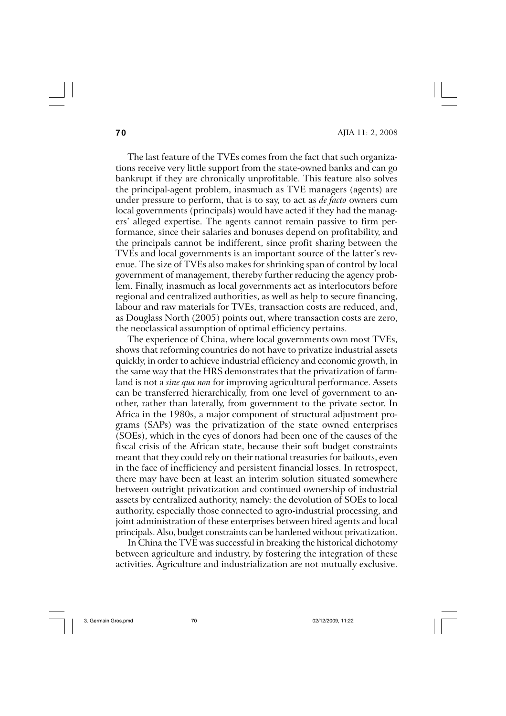The last feature of the TVEs comes from the fact that such organizations receive very little support from the state-owned banks and can go bankrupt if they are chronically unprofitable. This feature also solves the principal-agent problem, inasmuch as TVE managers (agents) are under pressure to perform, that is to say, to act as *de facto* owners cum local governments (principals) would have acted if they had the managers' alleged expertise. The agents cannot remain passive to firm performance, since their salaries and bonuses depend on profitability, and the principals cannot be indifferent, since profit sharing between the TVEs and local governments is an important source of the latter's revenue. The size of TVEs also makes for shrinking span of control by local government of management, thereby further reducing the agency problem. Finally, inasmuch as local governments act as interlocutors before regional and centralized authorities, as well as help to secure financing, labour and raw materials for TVEs, transaction costs are reduced, and, as Douglass North (2005) points out, where transaction costs are zero, the neoclassical assumption of optimal efficiency pertains.

The experience of China, where local governments own most TVEs, shows that reforming countries do not have to privatize industrial assets quickly, in order to achieve industrial efficiency and economic growth, in the same way that the HRS demonstrates that the privatization of farmland is not a *sine qua non* for improving agricultural performance. Assets can be transferred hierarchically, from one level of government to another, rather than laterally, from government to the private sector. In Africa in the 1980s, a major component of structural adjustment programs (SAPs) was the privatization of the state owned enterprises (SOEs), which in the eyes of donors had been one of the causes of the fiscal crisis of the African state, because their soft budget constraints meant that they could rely on their national treasuries for bailouts, even in the face of inefficiency and persistent financial losses. In retrospect, there may have been at least an interim solution situated somewhere between outright privatization and continued ownership of industrial assets by centralized authority, namely: the devolution of SOEs to local authority, especially those connected to agro-industrial processing, and joint administration of these enterprises between hired agents and local principals. Also, budget constraints can be hardened without privatization.

In China the TVE was successful in breaking the historical dichotomy between agriculture and industry, by fostering the integration of these activities. Agriculture and industrialization are not mutually exclusive.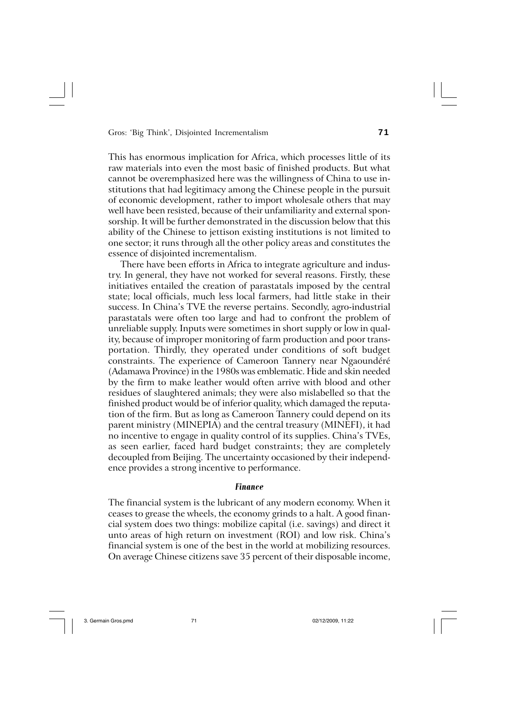This has enormous implication for Africa, which processes little of its raw materials into even the most basic of finished products. But what cannot be overemphasized here was the willingness of China to use institutions that had legitimacy among the Chinese people in the pursuit of economic development, rather to import wholesale others that may well have been resisted, because of their unfamiliarity and external sponsorship. It will be further demonstrated in the discussion below that this ability of the Chinese to jettison existing institutions is not limited to one sector; it runs through all the other policy areas and constitutes the essence of disjointed incrementalism.

There have been efforts in Africa to integrate agriculture and industry. In general, they have not worked for several reasons. Firstly, these initiatives entailed the creation of parastatals imposed by the central state; local officials, much less local farmers, had little stake in their success. In China's TVE the reverse pertains. Secondly, agro-industrial parastatals were often too large and had to confront the problem of unreliable supply. Inputs were sometimes in short supply or low in quality, because of improper monitoring of farm production and poor transportation. Thirdly, they operated under conditions of soft budget constraints. The experience of Cameroon Tannery near Ngaoundéré (Adamawa Province) in the 1980s was emblematic. Hide and skin needed by the firm to make leather would often arrive with blood and other residues of slaughtered animals; they were also mislabelled so that the finished product would be of inferior quality, which damaged the reputation of the firm. But as long as Cameroon Tannery could depend on its parent ministry (MINEPIA) and the central treasury (MINEFI), it had no incentive to engage in quality control of its supplies. China's TVEs, as seen earlier, faced hard budget constraints; they are completely decoupled from Beijing. The uncertainty occasioned by their independence provides a strong incentive to performance.

#### *Finance*

The financial system is the lubricant of any modern economy. When it ceases to grease the wheels, the economy grinds to a halt. A good financial system does two things: mobilize capital (i.e. savings) and direct it unto areas of high return on investment (ROI) and low risk. China's financial system is one of the best in the world at mobilizing resources. On average Chinese citizens save 35 percent of their disposable income,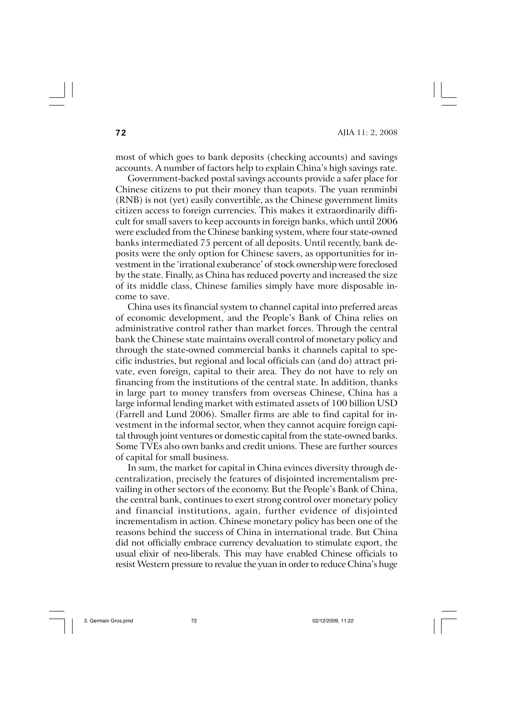most of which goes to bank deposits (checking accounts) and savings accounts. A number of factors help to explain China's high savings rate.

Government-backed postal savings accounts provide a safer place for Chinese citizens to put their money than teapots. The yuan renminbi (RNB) is not (yet) easily convertible, as the Chinese government limits citizen access to foreign currencies. This makes it extraordinarily difficult for small savers to keep accounts in foreign banks, which until 2006 were excluded from the Chinese banking system, where four state-owned banks intermediated 75 percent of all deposits. Until recently, bank deposits were the only option for Chinese savers, as opportunities for investment in the 'irrational exuberance' of stock ownership were foreclosed by the state. Finally, as China has reduced poverty and increased the size of its middle class, Chinese families simply have more disposable income to save.

China uses its financial system to channel capital into preferred areas of economic development, and the People's Bank of China relies on administrative control rather than market forces. Through the central bank the Chinese state maintains overall control of monetary policy and through the state-owned commercial banks it channels capital to specific industries, but regional and local officials can (and do) attract private, even foreign, capital to their area. They do not have to rely on financing from the institutions of the central state. In addition, thanks in large part to money transfers from overseas Chinese, China has a large informal lending market with estimated assets of 100 billion USD (Farrell and Lund 2006). Smaller firms are able to find capital for investment in the informal sector, when they cannot acquire foreign capital through joint ventures or domestic capital from the state-owned banks. Some TVEs also own banks and credit unions. These are further sources of capital for small business.

In sum, the market for capital in China evinces diversity through decentralization, precisely the features of disjointed incrementalism prevailing in other sectors of the economy. But the People's Bank of China, the central bank, continues to exert strong control over monetary policy and financial institutions, again, further evidence of disjointed incrementalism in action. Chinese monetary policy has been one of the reasons behind the success of China in international trade. But China did not officially embrace currency devaluation to stimulate export, the usual elixir of neo-liberals. This may have enabled Chinese officials to resist Western pressure to revalue the yuan in order to reduce China's huge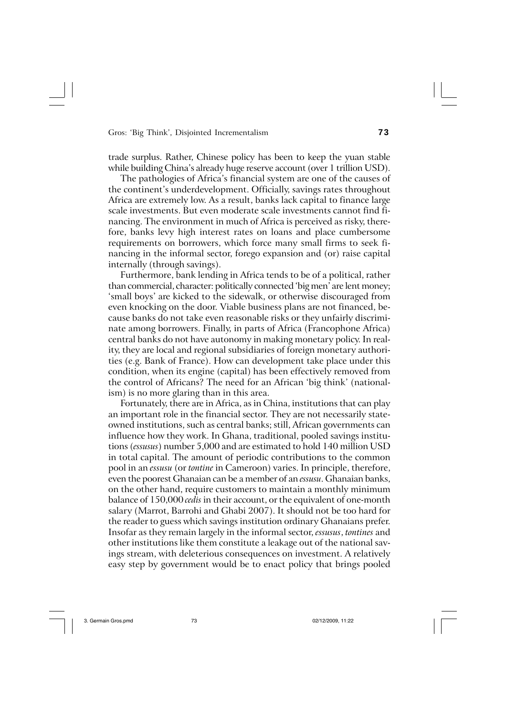trade surplus. Rather, Chinese policy has been to keep the yuan stable while building China's already huge reserve account (over 1 trillion USD).

The pathologies of Africa's financial system are one of the causes of the continent's underdevelopment. Officially, savings rates throughout Africa are extremely low. As a result, banks lack capital to finance large scale investments. But even moderate scale investments cannot find financing. The environment in much of Africa is perceived as risky, therefore, banks levy high interest rates on loans and place cumbersome requirements on borrowers, which force many small firms to seek financing in the informal sector, forego expansion and (or) raise capital internally (through savings).

Furthermore, bank lending in Africa tends to be of a political, rather than commercial, character: politically connected 'big men' are lent money; 'small boys' are kicked to the sidewalk, or otherwise discouraged from even knocking on the door. Viable business plans are not financed, because banks do not take even reasonable risks or they unfairly discriminate among borrowers. Finally, in parts of Africa (Francophone Africa) central banks do not have autonomy in making monetary policy. In reality, they are local and regional subsidiaries of foreign monetary authorities (e.g. Bank of France). How can development take place under this condition, when its engine (capital) has been effectively removed from the control of Africans? The need for an African 'big think' (nationalism) is no more glaring than in this area.

Fortunately, there are in Africa, as in China, institutions that can play an important role in the financial sector. They are not necessarily stateowned institutions, such as central banks; still, African governments can influence how they work. In Ghana, traditional, pooled savings institutions (*essusus*) number 5,000 and are estimated to hold 140 million USD in total capital. The amount of periodic contributions to the common pool in an *essusu* (or *tontine* in Cameroon) varies. In principle, therefore, even the poorest Ghanaian can be a member of an *essusu*. Ghanaian banks, on the other hand, require customers to maintain a monthly minimum balance of 150,000 *cedis* in their account, or the equivalent of one-month salary (Marrot, Barrohi and Ghabi 2007). It should not be too hard for the reader to guess which savings institution ordinary Ghanaians prefer. Insofar as they remain largely in the informal sector, *essusus*, *tontines* and other institutions like them constitute a leakage out of the national savings stream, with deleterious consequences on investment. A relatively easy step by government would be to enact policy that brings pooled

3. Germain Gros.pmd 73 02/12/2009, 11:22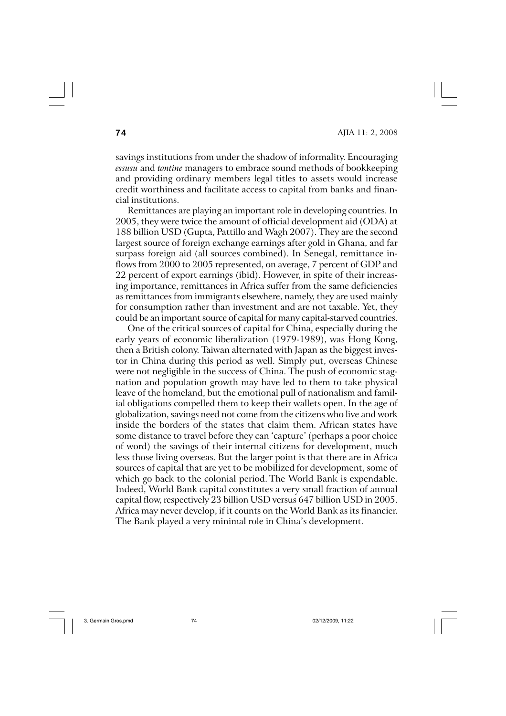savings institutions from under the shadow of informality. Encouraging *essusu* and *tontine* managers to embrace sound methods of bookkeeping and providing ordinary members legal titles to assets would increase credit worthiness and facilitate access to capital from banks and financial institutions.

Remittances are playing an important role in developing countries. In 2005, they were twice the amount of official development aid (ODA) at 188 billion USD (Gupta, Pattillo and Wagh 2007). They are the second largest source of foreign exchange earnings after gold in Ghana, and far surpass foreign aid (all sources combined). In Senegal, remittance inflows from 2000 to 2005 represented, on average, 7 percent of GDP and 22 percent of export earnings (ibid). However, in spite of their increasing importance, remittances in Africa suffer from the same deficiencies as remittances from immigrants elsewhere, namely, they are used mainly for consumption rather than investment and are not taxable. Yet, they could be an important source of capital for many capital-starved countries.

One of the critical sources of capital for China, especially during the early years of economic liberalization (1979-1989), was Hong Kong, then a British colony. Taiwan alternated with Japan as the biggest investor in China during this period as well. Simply put, overseas Chinese were not negligible in the success of China. The push of economic stagnation and population growth may have led to them to take physical leave of the homeland, but the emotional pull of nationalism and familial obligations compelled them to keep their wallets open. In the age of globalization, savings need not come from the citizens who live and work inside the borders of the states that claim them. African states have some distance to travel before they can 'capture' (perhaps a poor choice of word) the savings of their internal citizens for development, much less those living overseas. But the larger point is that there are in Africa sources of capital that are yet to be mobilized for development, some of which go back to the colonial period. The World Bank is expendable. Indeed, World Bank capital constitutes a very small fraction of annual capital flow, respectively 23 billion USD versus 647 billion USD in 2005. Africa may never develop, if it counts on the World Bank as its financier. The Bank played a very minimal role in China's development.

3. Germain Gros.pmd 74 02/12/2009, 11:22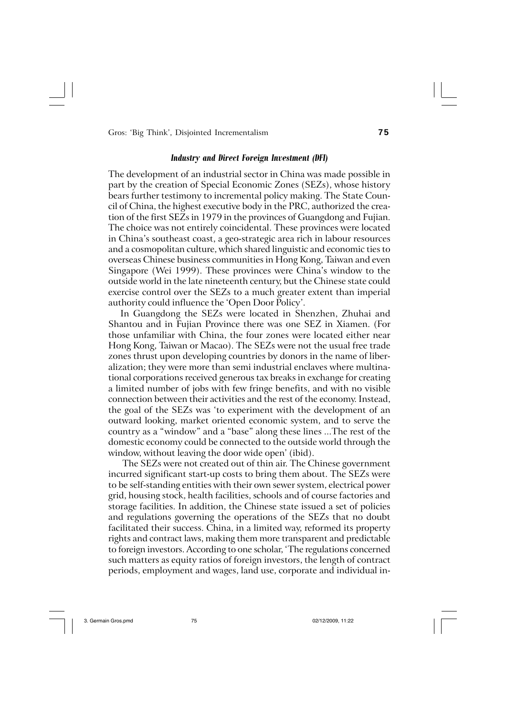## *Industry and Direct Foreign Investment (DFI)*

The development of an industrial sector in China was made possible in part by the creation of Special Economic Zones (SEZs), whose history bears further testimony to incremental policy making. The State Council of China, the highest executive body in the PRC, authorized the creation of the first SEZs in 1979 in the provinces of Guangdong and Fujian. The choice was not entirely coincidental. These provinces were located in China's southeast coast, a geo-strategic area rich in labour resources and a cosmopolitan culture, which shared linguistic and economic ties to overseas Chinese business communities in Hong Kong, Taiwan and even Singapore (Wei 1999). These provinces were China's window to the outside world in the late nineteenth century, but the Chinese state could exercise control over the SEZs to a much greater extent than imperial authority could influence the 'Open Door Policy'.

In Guangdong the SEZs were located in Shenzhen, Zhuhai and Shantou and in Fujian Province there was one SEZ in Xiamen. (For those unfamiliar with China, the four zones were located either near Hong Kong, Taiwan or Macao). The SEZs were not the usual free trade zones thrust upon developing countries by donors in the name of liberalization; they were more than semi industrial enclaves where multinational corporations received generous tax breaks in exchange for creating a limited number of jobs with few fringe benefits, and with no visible connection between their activities and the rest of the economy. Instead, the goal of the SEZs was 'to experiment with the development of an outward looking, market oriented economic system, and to serve the country as a "window" and a "base" along these lines ...The rest of the domestic economy could be connected to the outside world through the window, without leaving the door wide open' (ibid).

 The SEZs were not created out of thin air. The Chinese government incurred significant start-up costs to bring them about. The SEZs were to be self-standing entities with their own sewer system, electrical power grid, housing stock, health facilities, schools and of course factories and storage facilities. In addition, the Chinese state issued a set of policies and regulations governing the operations of the SEZs that no doubt facilitated their success. China, in a limited way, reformed its property rights and contract laws, making them more transparent and predictable to foreign investors. According to one scholar, 'The regulations concerned such matters as equity ratios of foreign investors, the length of contract periods, employment and wages, land use, corporate and individual in-

3. Germain Gros.pmd 75 02/12/2009, 11:22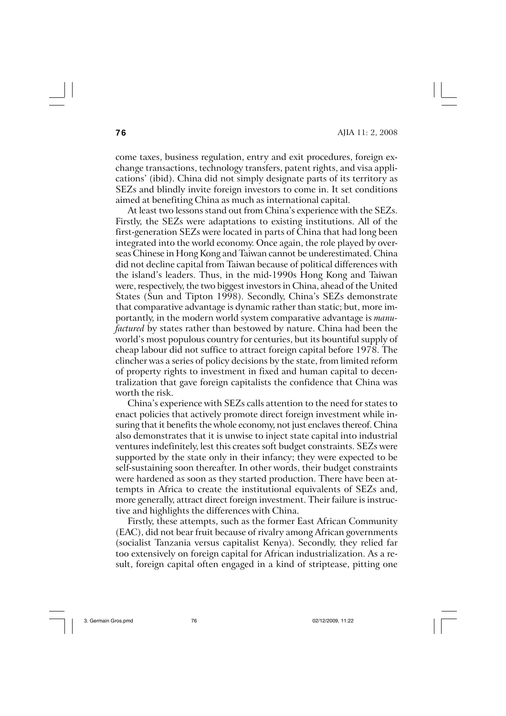**76** AJIA 11: 2, 2008

come taxes, business regulation, entry and exit procedures, foreign exchange transactions, technology transfers, patent rights, and visa applications' (ibid). China did not simply designate parts of its territory as SEZs and blindly invite foreign investors to come in. It set conditions aimed at benefiting China as much as international capital.

At least two lessons stand out from China's experience with the SEZs. Firstly, the SEZs were adaptations to existing institutions. All of the first-generation SEZs were located in parts of China that had long been integrated into the world economy. Once again, the role played by overseas Chinese in Hong Kong and Taiwan cannot be underestimated. China did not decline capital from Taiwan because of political differences with the island's leaders. Thus, in the mid-1990s Hong Kong and Taiwan were, respectively, the two biggest investors in China, ahead of the United States (Sun and Tipton 1998). Secondly, China's SEZs demonstrate that comparative advantage is dynamic rather than static; but, more importantly, in the modern world system comparative advantage is *manufactured* by states rather than bestowed by nature. China had been the world's most populous country for centuries, but its bountiful supply of cheap labour did not suffice to attract foreign capital before 1978. The clincher was a series of policy decisions by the state, from limited reform of property rights to investment in fixed and human capital to decentralization that gave foreign capitalists the confidence that China was worth the risk.

China's experience with SEZs calls attention to the need for states to enact policies that actively promote direct foreign investment while insuring that it benefits the whole economy, not just enclaves thereof. China also demonstrates that it is unwise to inject state capital into industrial ventures indefinitely, lest this creates soft budget constraints. SEZs were supported by the state only in their infancy; they were expected to be self-sustaining soon thereafter. In other words, their budget constraints were hardened as soon as they started production. There have been attempts in Africa to create the institutional equivalents of SEZs and, more generally, attract direct foreign investment. Their failure is instructive and highlights the differences with China.

Firstly, these attempts, such as the former East African Community (EAC), did not bear fruit because of rivalry among African governments (socialist Tanzania versus capitalist Kenya). Secondly, they relied far too extensively on foreign capital for African industrialization. As a result, foreign capital often engaged in a kind of striptease, pitting one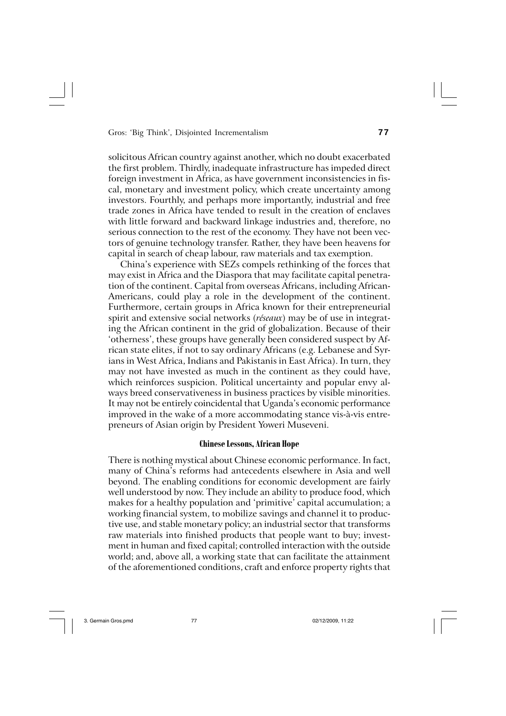solicitous African country against another, which no doubt exacerbated the first problem. Thirdly, inadequate infrastructure has impeded direct foreign investment in Africa, as have government inconsistencies in fiscal, monetary and investment policy, which create uncertainty among investors. Fourthly, and perhaps more importantly, industrial and free trade zones in Africa have tended to result in the creation of enclaves with little forward and backward linkage industries and, therefore, no serious connection to the rest of the economy. They have not been vectors of genuine technology transfer. Rather, they have been heavens for capital in search of cheap labour, raw materials and tax exemption.

China's experience with SEZs compels rethinking of the forces that may exist in Africa and the Diaspora that may facilitate capital penetration of the continent. Capital from overseas Africans, including African-Americans, could play a role in the development of the continent. Furthermore, certain groups in Africa known for their entrepreneurial spirit and extensive social networks (*réseaux*) may be of use in integrating the African continent in the grid of globalization. Because of their 'otherness', these groups have generally been considered suspect by African state elites, if not to say ordinary Africans (e.g. Lebanese and Syrians in West Africa, Indians and Pakistanis in East Africa). In turn, they may not have invested as much in the continent as they could have, which reinforces suspicion. Political uncertainty and popular envy always breed conservativeness in business practices by visible minorities. It may not be entirely coincidental that Uganda's economic performance improved in the wake of a more accommodating stance vis-à-vis entrepreneurs of Asian origin by President Yoweri Museveni.

#### **Chinese Lessons, African Hope**

There is nothing mystical about Chinese economic performance. In fact, many of China's reforms had antecedents elsewhere in Asia and well beyond. The enabling conditions for economic development are fairly well understood by now. They include an ability to produce food, which makes for a healthy population and 'primitive' capital accumulation; a working financial system, to mobilize savings and channel it to productive use, and stable monetary policy; an industrial sector that transforms raw materials into finished products that people want to buy; investment in human and fixed capital; controlled interaction with the outside world; and, above all, a working state that can facilitate the attainment of the aforementioned conditions, craft and enforce property rights that

3. Germain Gros.pmd 77 02/12/2009, 11:22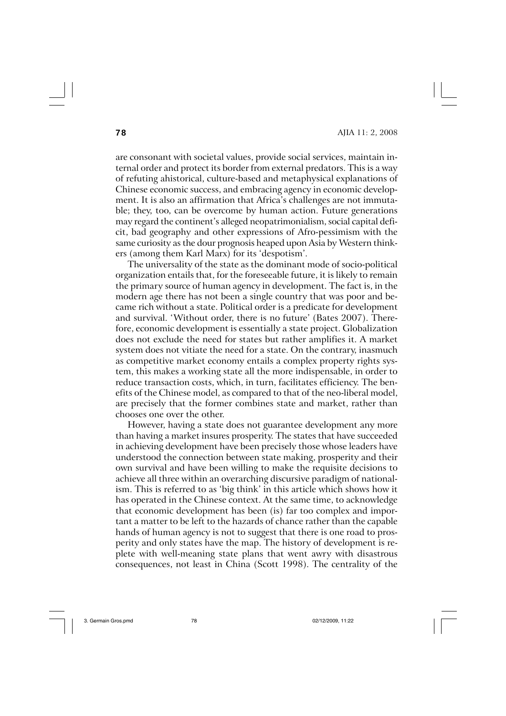**78** AJIA 11: 2, 2008

are consonant with societal values, provide social services, maintain internal order and protect its border from external predators. This is a way of refuting ahistorical, culture-based and metaphysical explanations of Chinese economic success, and embracing agency in economic development. It is also an affirmation that Africa's challenges are not immutable; they, too, can be overcome by human action. Future generations may regard the continent's alleged neopatrimonialism, social capital deficit, bad geography and other expressions of Afro-pessimism with the same curiosity as the dour prognosis heaped upon Asia by Western thinkers (among them Karl Marx) for its 'despotism'.

The universality of the state as the dominant mode of socio-political organization entails that, for the foreseeable future, it is likely to remain the primary source of human agency in development. The fact is, in the modern age there has not been a single country that was poor and became rich without a state. Political order is a predicate for development and survival. 'Without order, there is no future' (Bates 2007). Therefore, economic development is essentially a state project. Globalization does not exclude the need for states but rather amplifies it. A market system does not vitiate the need for a state. On the contrary, inasmuch as competitive market economy entails a complex property rights system, this makes a working state all the more indispensable, in order to reduce transaction costs, which, in turn, facilitates efficiency. The benefits of the Chinese model, as compared to that of the neo-liberal model, are precisely that the former combines state and market, rather than chooses one over the other.

However, having a state does not guarantee development any more than having a market insures prosperity. The states that have succeeded in achieving development have been precisely those whose leaders have understood the connection between state making, prosperity and their own survival and have been willing to make the requisite decisions to achieve all three within an overarching discursive paradigm of nationalism. This is referred to as 'big think' in this article which shows how it has operated in the Chinese context. At the same time, to acknowledge that economic development has been (is) far too complex and important a matter to be left to the hazards of chance rather than the capable hands of human agency is not to suggest that there is one road to prosperity and only states have the map. The history of development is replete with well-meaning state plans that went awry with disastrous consequences, not least in China (Scott 1998). The centrality of the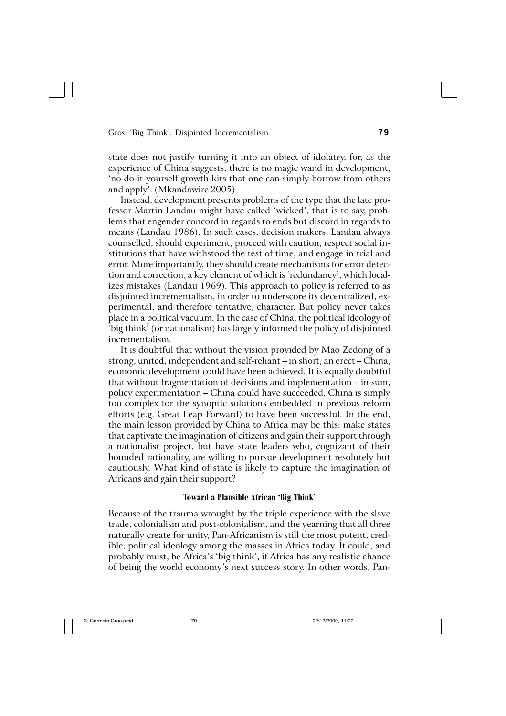state does not justify turning it into an object of idolatry, for, as the experience of China suggests, there is no magic wand in development, 'no do-it-yourself growth kits that one can simply borrow from others and apply'. (Mkandawire 2005)

Instead, development presents problems of the type that the late professor Martin Landau might have called 'wicked', that is to say, problems that engender concord in regards to ends but discord in regards to means (Landau 1986). In such cases, decision makers, Landau always counselled, should experiment, proceed with caution, respect social institutions that have withstood the test of time, and engage in trial and error. More importantly, they should create mechanisms for error detection and correction, a key element of which is 'redundancy', which localizes mistakes (Landau 1969). This approach to policy is referred to as disjointed incrementalism, in order to underscore its decentralized, experimental, and therefore tentative, character. But policy never takes place in a political vacuum. In the case of China, the political ideology of 'big think' (or nationalism) has largely informed the policy of disjointed incrementalism.

It is doubtful that without the vision provided by Mao Zedong of a strong, united, independent and self-reliant – in short, an erect – China, economic development could have been achieved. It is equally doubtful that without fragmentation of decisions and implementation – in sum, policy experimentation – China could have succeeded. China is simply too complex for the synoptic solutions embedded in previous reform efforts (e.g. Great Leap Forward) to have been successful. In the end, the main lesson provided by China to Africa may be this: make states that captivate the imagination of citizens and gain their support through a nationalist project, but have state leaders who, cognizant of their bounded rationality, are willing to pursue development resolutely but cautiously. What kind of state is likely to capture the imagination of Africans and gain their support?

### **Toward a Plausible African 'Big Think'**

Because of the trauma wrought by the triple experience with the slave trade, colonialism and post-colonialism, and the yearning that all three naturally create for unity, Pan-Africanism is still the most potent, credible, political ideology among the masses in Africa today. It could, and probably must, be Africa's 'big think', if Africa has any realistic chance of being the world economy's next success story. In other words, Pan-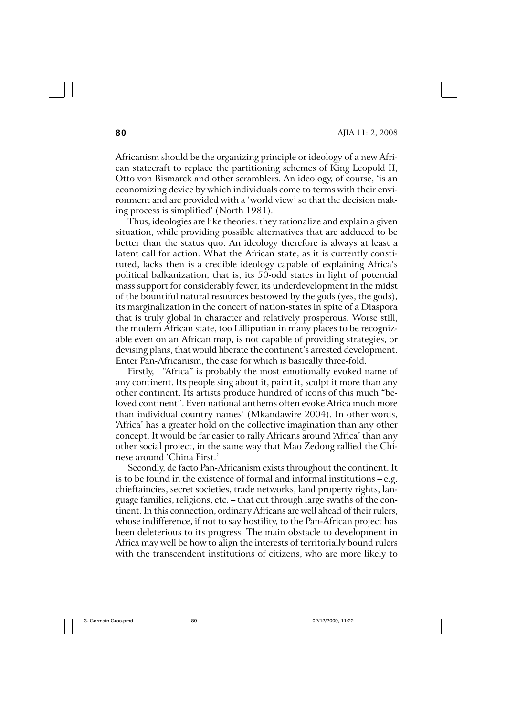Africanism should be the organizing principle or ideology of a new African statecraft to replace the partitioning schemes of King Leopold II, Otto von Bismarck and other scramblers. An ideology, of course, 'is an economizing device by which individuals come to terms with their environment and are provided with a 'world view' so that the decision making process is simplified' (North 1981).

Thus, ideologies are like theories: they rationalize and explain a given situation, while providing possible alternatives that are adduced to be better than the status quo. An ideology therefore is always at least a latent call for action. What the African state, as it is currently constituted, lacks then is a credible ideology capable of explaining Africa's political balkanization, that is, its 50-odd states in light of potential mass support for considerably fewer, its underdevelopment in the midst of the bountiful natural resources bestowed by the gods (yes, the gods), its marginalization in the concert of nation-states in spite of a Diaspora that is truly global in character and relatively prosperous. Worse still, the modern African state, too Lilliputian in many places to be recognizable even on an African map, is not capable of providing strategies, or devising plans, that would liberate the continent's arrested development. Enter Pan-Africanism, the case for which is basically three-fold.

Firstly, ' "Africa" is probably the most emotionally evoked name of any continent. Its people sing about it, paint it, sculpt it more than any other continent. Its artists produce hundred of icons of this much "beloved continent". Even national anthems often evoke Africa much more than individual country names' (Mkandawire 2004). In other words, 'Africa' has a greater hold on the collective imagination than any other concept. It would be far easier to rally Africans around 'Africa' than any other social project, in the same way that Mao Zedong rallied the Chinese around 'China First.'

Secondly, de facto Pan-Africanism exists throughout the continent. It is to be found in the existence of formal and informal institutions – e.g. chieftaincies, secret societies, trade networks, land property rights, language families, religions, etc. – that cut through large swaths of the continent. In this connection, ordinary Africans are well ahead of their rulers, whose indifference, if not to say hostility, to the Pan-African project has been deleterious to its progress. The main obstacle to development in Africa may well be how to align the interests of territorially bound rulers with the transcendent institutions of citizens, who are more likely to

3. Germain Gros.pmd 80 02/12/2009, 11:22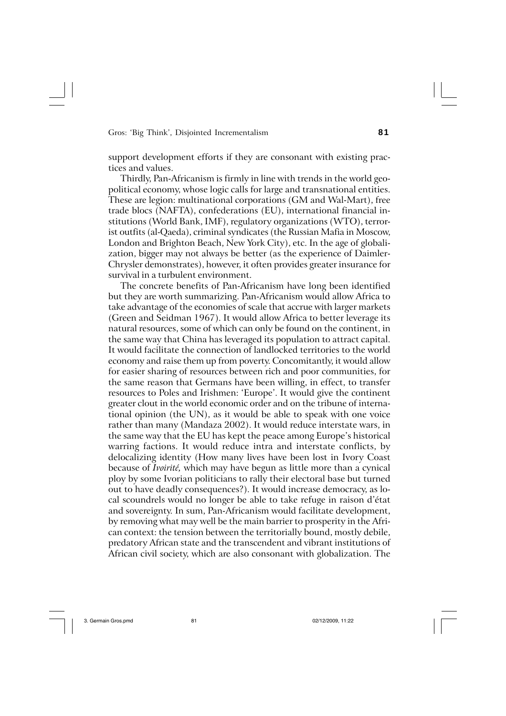support development efforts if they are consonant with existing practices and values.

Thirdly, Pan-Africanism is firmly in line with trends in the world geopolitical economy, whose logic calls for large and transnational entities. These are legion: multinational corporations (GM and Wal-Mart), free trade blocs (NAFTA), confederations (EU), international financial institutions (World Bank, IMF), regulatory organizations (WTO), terrorist outfits (al-Qaeda), criminal syndicates (the Russian Mafia in Moscow, London and Brighton Beach, New York City), etc. In the age of globalization, bigger may not always be better (as the experience of Daimler-Chrysler demonstrates), however, it often provides greater insurance for survival in a turbulent environment.

The concrete benefits of Pan-Africanism have long been identified but they are worth summarizing. Pan-Africanism would allow Africa to take advantage of the economies of scale that accrue with larger markets (Green and Seidman 1967). It would allow Africa to better leverage its natural resources, some of which can only be found on the continent, in the same way that China has leveraged its population to attract capital. It would facilitate the connection of landlocked territories to the world economy and raise them up from poverty. Concomitantly, it would allow for easier sharing of resources between rich and poor communities, for the same reason that Germans have been willing, in effect, to transfer resources to Poles and Irishmen: 'Europe'. It would give the continent greater clout in the world economic order and on the tribune of international opinion (the UN), as it would be able to speak with one voice rather than many (Mandaza 2002). It would reduce interstate wars, in the same way that the EU has kept the peace among Europe's historical warring factions. It would reduce intra and interstate conflicts, by delocalizing identity (How many lives have been lost in Ivory Coast because of *Ivoirité,* which may have begun as little more than a cynical ploy by some Ivorian politicians to rally their electoral base but turned out to have deadly consequences?). It would increase democracy, as local scoundrels would no longer be able to take refuge in raison d'état and sovereignty. In sum, Pan-Africanism would facilitate development, by removing what may well be the main barrier to prosperity in the African context: the tension between the territorially bound, mostly debile, predatory African state and the transcendent and vibrant institutions of African civil society, which are also consonant with globalization. The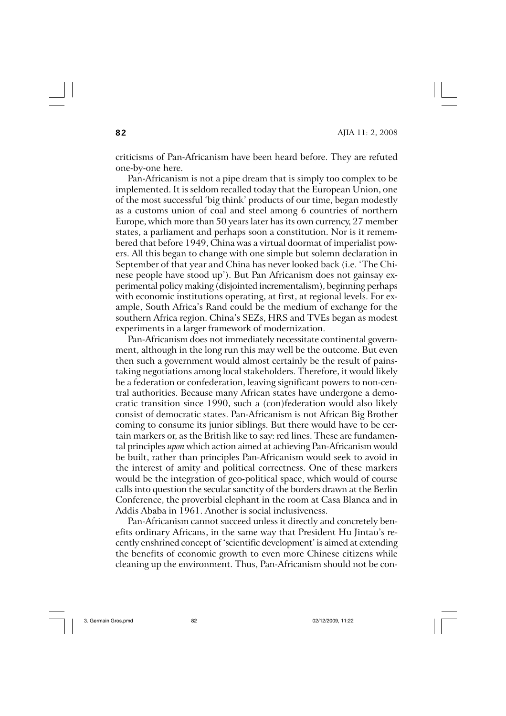criticisms of Pan-Africanism have been heard before. They are refuted one-by-one here.

Pan-Africanism is not a pipe dream that is simply too complex to be implemented. It is seldom recalled today that the European Union, one of the most successful 'big think' products of our time, began modestly as a customs union of coal and steel among 6 countries of northern Europe, which more than 50 years later has its own currency, 27 member states, a parliament and perhaps soon a constitution. Nor is it remembered that before 1949, China was a virtual doormat of imperialist powers. All this began to change with one simple but solemn declaration in September of that year and China has never looked back (i.e. 'The Chinese people have stood up'). But Pan Africanism does not gainsay experimental policy making (disjointed incrementalism), beginning perhaps with economic institutions operating, at first, at regional levels. For example, South Africa's Rand could be the medium of exchange for the southern Africa region. China's SEZs, HRS and TVEs began as modest experiments in a larger framework of modernization.

Pan-Africanism does not immediately necessitate continental government, although in the long run this may well be the outcome. But even then such a government would almost certainly be the result of painstaking negotiations among local stakeholders. Therefore, it would likely be a federation or confederation, leaving significant powers to non-central authorities. Because many African states have undergone a democratic transition since 1990, such a (con)federation would also likely consist of democratic states. Pan-Africanism is not African Big Brother coming to consume its junior siblings. But there would have to be certain markers or, as the British like to say: red lines. These are fundamental principles *upon* which action aimed at achieving Pan-Africanism would be built, rather than principles Pan-Africanism would seek to avoid in the interest of amity and political correctness. One of these markers would be the integration of geo-political space, which would of course calls into question the secular sanctity of the borders drawn at the Berlin Conference, the proverbial elephant in the room at Casa Blanca and in Addis Ababa in 1961. Another is social inclusiveness.

Pan-Africanism cannot succeed unless it directly and concretely benefits ordinary Africans, in the same way that President Hu Jintao's recently enshrined concept of 'scientific development' is aimed at extending the benefits of economic growth to even more Chinese citizens while cleaning up the environment. Thus, Pan-Africanism should not be con-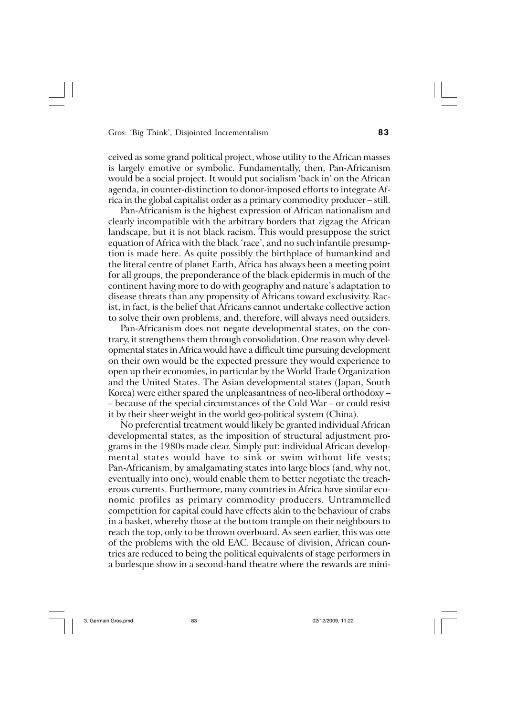ceived as some grand political project, whose utility to the African masses is largely emotive or symbolic. Fundamentally, then, Pan-Africanism would be a social project. It would put socialism 'back in' on the African agenda, in counter-distinction to donor-imposed efforts to integrate Africa in the global capitalist order as a primary commodity producer – still.

Pan-Africanism is the highest expression of African nationalism and clearly incompatible with the arbitrary borders that zigzag the African landscape, but it is not black racism. This would presuppose the strict equation of Africa with the black 'race', and no such infantile presumption is made here. As quite possibly the birthplace of humankind and the literal centre of planet Earth, Africa has always been a meeting point for all groups, the preponderance of the black epidermis in much of the continent having more to do with geography and nature's adaptation to disease threats than any propensity of Africans toward exclusivity. Racist, in fact, is the belief that Africans cannot undertake collective action to solve their own problems, and, therefore, will always need outsiders.

Pan-Africanism does not negate developmental states, on the contrary, it strengthens them through consolidation. One reason why developmental states in Africa would have a difficult time pursuing development on their own would be the expected pressure they would experience to open up their economies, in particular by the World Trade Organization and the United States. The Asian developmental states (Japan, South Korea) were either spared the unpleasantness of neo-liberal orthodoxy – – because of the special circumstances of the Cold War – or could resist it by their sheer weight in the world geo-political system (China).

No preferential treatment would likely be granted individual African developmental states, as the imposition of structural adjustment programs in the 1980s made clear. Simply put: individual African developmental states would have to sink or swim without life vests; Pan-Africanism, by amalgamating states into large blocs (and, why not, eventually into one), would enable them to better negotiate the treacherous currents. Furthermore, many countries in Africa have similar economic profiles as primary commodity producers. Untrammelled competition for capital could have effects akin to the behaviour of crabs in a basket, whereby those at the bottom trample on their neighbours to reach the top, only to be thrown overboard. As seen earlier, this was one of the problems with the old EAC. Because of division, African countries are reduced to being the political equivalents of stage performers in a burlesque show in a second-hand theatre where the rewards are mini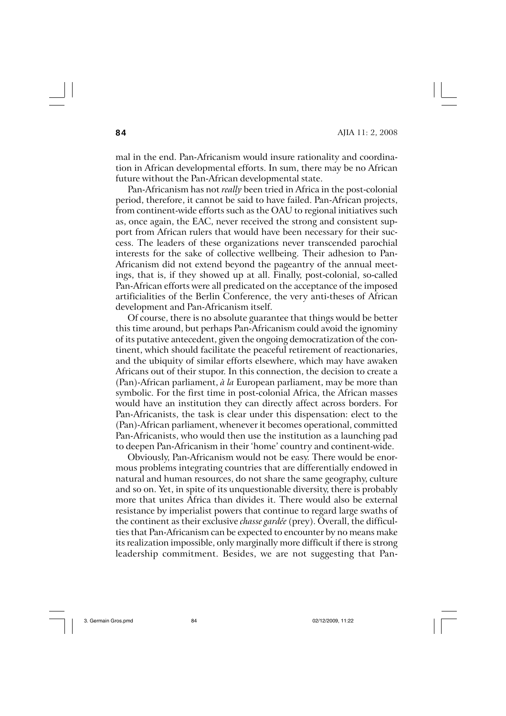mal in the end. Pan-Africanism would insure rationality and coordination in African developmental efforts. In sum, there may be no African future without the Pan-African developmental state.

Pan-Africanism has not *really* been tried in Africa in the post-colonial period, therefore, it cannot be said to have failed. Pan-African projects, from continent-wide efforts such as the OAU to regional initiatives such as, once again, the EAC, never received the strong and consistent support from African rulers that would have been necessary for their success. The leaders of these organizations never transcended parochial interests for the sake of collective wellbeing. Their adhesion to Pan-Africanism did not extend beyond the pageantry of the annual meetings, that is, if they showed up at all. Finally, post-colonial, so-called Pan-African efforts were all predicated on the acceptance of the imposed artificialities of the Berlin Conference, the very anti-theses of African development and Pan-Africanism itself.

Of course, there is no absolute guarantee that things would be better this time around, but perhaps Pan-Africanism could avoid the ignominy of its putative antecedent, given the ongoing democratization of the continent, which should facilitate the peaceful retirement of reactionaries, and the ubiquity of similar efforts elsewhere, which may have awaken Africans out of their stupor. In this connection, the decision to create a (Pan)-African parliament, *à la* European parliament, may be more than symbolic. For the first time in post-colonial Africa, the African masses would have an institution they can directly affect across borders. For Pan-Africanists, the task is clear under this dispensation: elect to the (Pan)-African parliament, whenever it becomes operational, committed Pan-Africanists, who would then use the institution as a launching pad to deepen Pan-Africanism in their 'home' country and continent-wide.

Obviously, Pan-Africanism would not be easy. There would be enormous problems integrating countries that are differentially endowed in natural and human resources, do not share the same geography, culture and so on. Yet, in spite of its unquestionable diversity, there is probably more that unites Africa than divides it. There would also be external resistance by imperialist powers that continue to regard large swaths of the continent as their exclusive *chasse gardée* (prey). Overall, the difficulties that Pan-Africanism can be expected to encounter by no means make its realization impossible, only marginally more difficult if there is strong leadership commitment. Besides, we are not suggesting that Pan-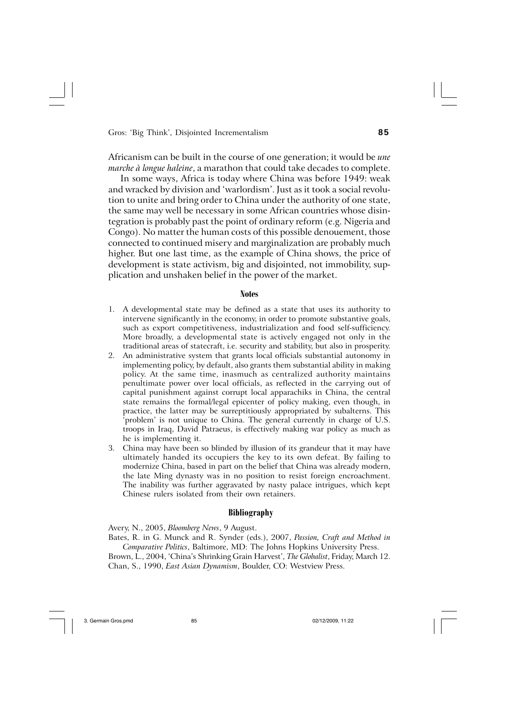Africanism can be built in the course of one generation; it would be *une marche à longue haleine*, a marathon that could take decades to complete.

In some ways, Africa is today where China was before 1949: weak and wracked by division and 'warlordism'. Just as it took a social revolution to unite and bring order to China under the authority of one state, the same may well be necessary in some African countries whose disintegration is probably past the point of ordinary reform (e.g. Nigeria and Congo). No matter the human costs of this possible denouement, those connected to continued misery and marginalization are probably much higher. But one last time, as the example of China shows, the price of development is state activism, big and disjointed, not immobility, supplication and unshaken belief in the power of the market.

#### **Notes**

- 1. A developmental state may be defined as a state that uses its authority to intervene significantly in the economy, in order to promote substantive goals, such as export competitiveness, industrialization and food self-sufficiency. More broadly, a developmental state is actively engaged not only in the traditional areas of statecraft, i.e. security and stability, but also in prosperity.
- 2. An administrative system that grants local officials substantial autonomy in implementing policy, by default, also grants them substantial ability in making policy. At the same time, inasmuch as centralized authority maintains penultimate power over local officials, as reflected in the carrying out of capital punishment against corrupt local apparachiks in China, the central state remains the formal/legal epicenter of policy making, even though, in practice, the latter may be surreptitiously appropriated by subalterns. This 'problem' is not unique to China. The general currently in charge of U.S. troops in Iraq, David Patraeus, is effectively making war policy as much as he is implementing it.
- 3. China may have been so blinded by illusion of its grandeur that it may have ultimately handed its occupiers the key to its own defeat. By failing to modernize China, based in part on the belief that China was already modern, the late Ming dynasty was in no position to resist foreign encroachment. The inability was further aggravated by nasty palace intrigues, which kept Chinese rulers isolated from their own retainers.

#### **Bibliography**

Avery, N., 2005, *Bloomberg News*, 9 August.

Bates, R. in G. Munck and R. Synder (eds.), 2007, *Passion, Craft and Method in Comparative Politics*, Baltimore, MD: The Johns Hopkins University Press.

Brown, L., 2004, 'China's Shrinking Grain Harvest', *The Globalist*, Friday, March 12. Chan, S., 1990, *East Asian Dynamism*, Boulder, CO: Westview Press.

3. Germain Gros.pmd 85 02/12/2009, 11:22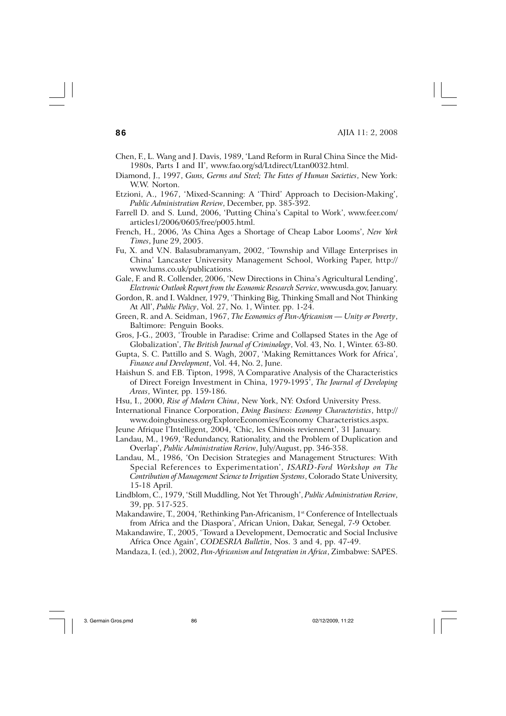- Chen, F., L. Wang and J. Davis, 1989, 'Land Reform in Rural China Since the Mid-1980s, Parts I and II', www.fao.org/sd/Ltdirect/Ltan0032.html.
- Diamond, J., 1997, *Guns, Germs and Steel; The Fates of Human Societies*, New York: W.W. Norton.
- Etzioni, A., 1967, 'Mixed-Scanning: A 'Third' Approach to Decision-Making', *Public Administration Review*, December, pp. 385-392.
- Farrell D. and S. Lund, 2006, 'Putting China's Capital to Work', www.feer.com/ articles1/2006/0605/free/p005.html.
- French, H., 2006, 'As China Ages a Shortage of Cheap Labor Looms', *New York Times*, June 29, 2005.
- Fu, X. and V.N. Balasubramanyam, 2002, 'Township and Village Enterprises in China' Lancaster University Management School, Working Paper, http:// www.lums.co.uk/publications.
- Gale, F. and R. Collender, 2006, 'New Directions in China's Agricultural Lending', *Electronic Outlook Report from the Economic Research Service*, www.usda.gov, January.
- Gordon, R. and I. Waldner, 1979, 'Thinking Big, Thinking Small and Not Thinking At All', *Public Policy*, Vol. 27, No. 1, Winter. pp. 1-24.
- Green, R. and A. Seidman, 1967, *The Economics of Pan-Africanism –– Unity or Poverty*, Baltimore: Penguin Books.
- Gros, J-G., 2003, 'Trouble in Paradise: Crime and Collapsed States in the Age of Globalization', *The British Journal of Criminology*, Vol. 43, No. 1, Winter. 63-80.
- Gupta, S. C. Pattillo and S. Wagh, 2007, 'Making Remittances Work for Africa', *Finance and Development*, Vol. 44, No. 2, June.
- Haishun S. and F.B. Tipton, 1998, 'A Comparative Analysis of the Characteristics of Direct Foreign Investment in China, 1979-1995', *The Journal of Developing Areas*, Winter, pp. 159-186.
- Hsu, I., 2000, *Rise of Modern China*, New York, NY: Oxford University Press.
- International Finance Corporation, *Doing Business: Economy Characteristics*, http:// www.doingbusiness.org/ExploreEconomies/Economy Characteristics.aspx.
- Jeune Afrique l'Intelligent, 2004, 'Chic, les Chinois reviennent', 31 January.
- Landau, M., 1969, 'Redundancy, Rationality, and the Problem of Duplication and Overlap', *Public Administration Review*, July/August, pp. 346-358.
- Landau, M., 1986, 'On Decision Strategies and Management Structures: With Special References to Experimentation', *ISARD-Ford Workshop on The Contribution of Management Science to Irrigation Systems*, Colorado State University, 15-18 April.
- Lindblom, C., 1979, 'Still Muddling, Not Yet Through', *Public Administration Review*, 39, pp. 517-525.
- Makandawire, T., 2004, 'Rethinking Pan-Africanism, 1st Conference of Intellectuals from Africa and the Diaspora', African Union, Dakar, Senegal, 7-9 October.
- Makandawire, T., 2005, 'Toward a Development, Democratic and Social Inclusive Africa Once Again', *CODESRIA Bulletin*, Nos. 3 and 4, pp. 47-49.

Mandaza, I. (ed.), 2002, *Pan-Africanism and Integration in Africa*, Zimbabwe: SAPES.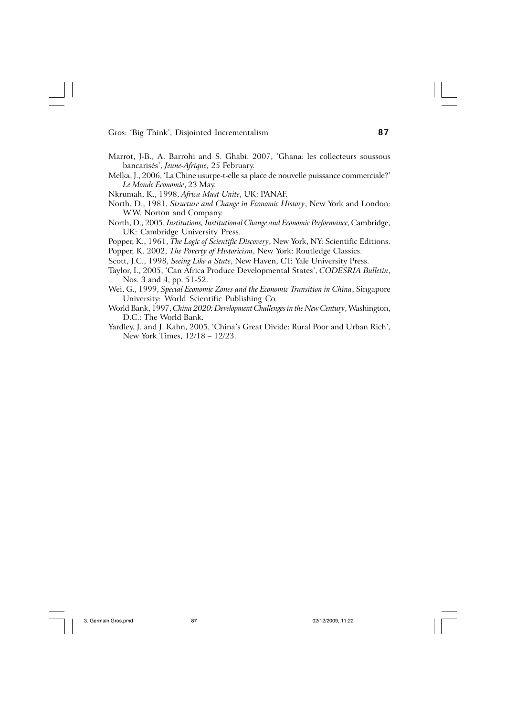- Marrot, J-B., A. Barrohi and S. Ghabi. 2007, 'Ghana: les collecteurs soussous bancarisés', *Jeune-Afrique*, 25 February.
- Melka, J., 2006, 'La Chine usurpe-t-elle sa place de nouvelle puissance commerciale?' *Le Monde Economie*, 23 May.

Nkrumah, K., 1998, *Africa Must Unite*, UK: PANAF.

- North, D., 1981, *Structure and Change in Economic History*, New York and London: W.W. Norton and Company.
- North, D., 2005, *Institutions, Institutional Change and Economic Performance*, Cambridge, UK: Cambridge University Press.

Popper, K., 1961, *The Logic of Scientific Discovery*, New York, NY: Scientific Editions.

Popper, K. 2002, *The Poverty of Historicism*, New York: Routledge Classics.

- Scott, J.C., 1998, *Seeing Like a State*, New Haven, CT: Yale University Press.
- Taylor, I., 2005, 'Can Africa Produce Developmental States', *CODESRIA Bulletin*, Nos. 3 and 4, pp. 51-52.

Wei, G., 1999, *Special Economic Zones and the Economic Transition in China*, Singapore University: World Scientific Publishing Co.

- World Bank, 1997, *China 2020: Development Challenges in the New Century*, Washington, D.C.: The World Bank.
- Yardley, J. and J. Kahn, 2005, 'China's Great Divide: Rural Poor and Urban Rich', New York Times, 12/18 – 12/23.